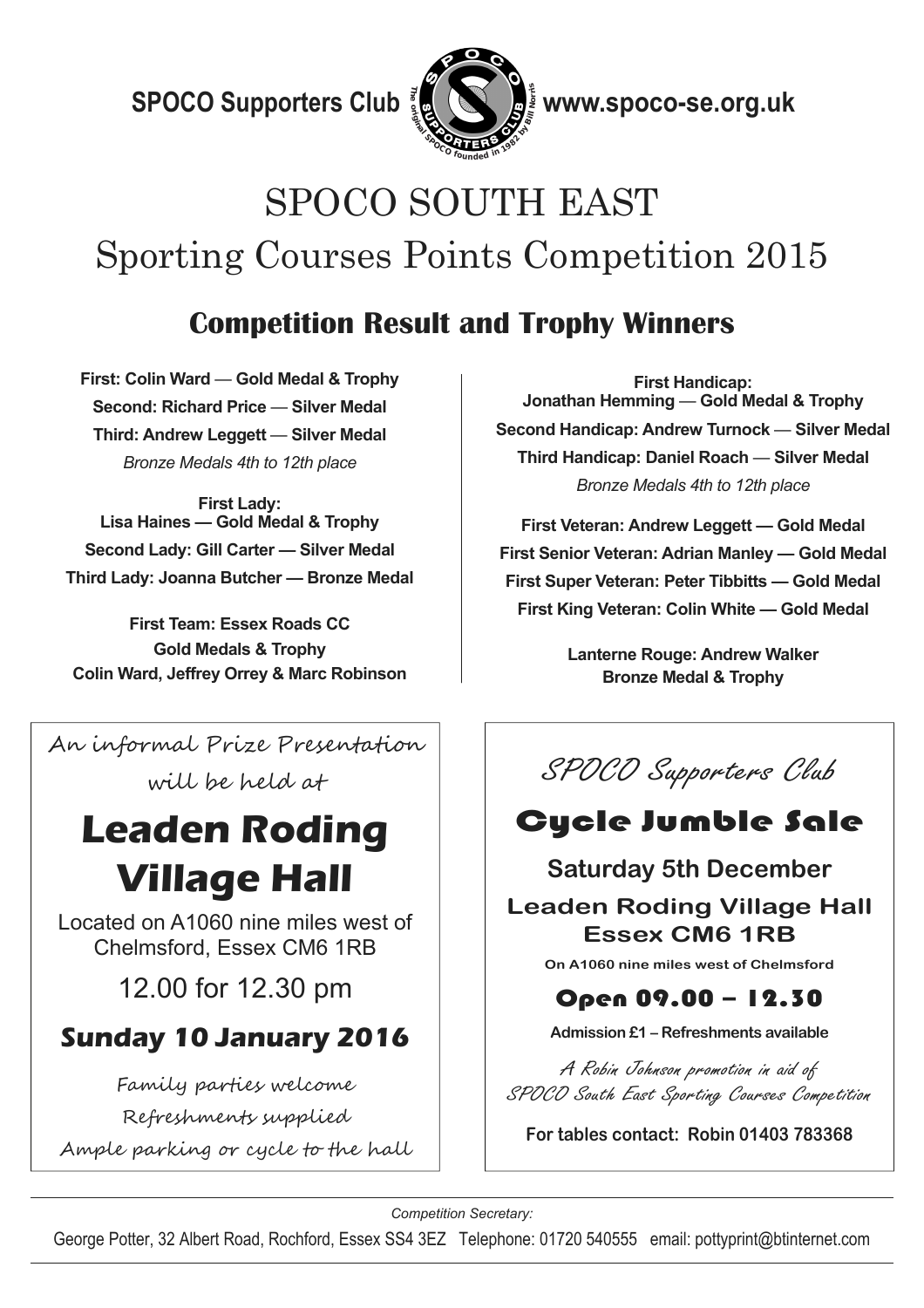$\mathbf S \textsf{POCO}$  Supporters Club  $\frac{2}{3}$   $\mathbb{Q}$   $\left(\begin{matrix}\infty\\ \infty\end{matrix}\right)$  www.spoco-se.org.uk



 $\frac{1}{2}$  www.spoco-se.org.uk

# SPOCO SOUTH EAST Sporting Courses Points Competition 2015

### **Competition Result and Trophy Winners**

**First: Colin Ward** — **Gold Medal & Trophy Second: Richard Price** — **Silver Medal Third: Andrew Leggett** — **Silver Medal**  *Bronze Medals 4th to 12th place* 

**First Lady: Lisa Haines — Gold Medal & Trophy Second Lady: Gill Carter — Silver Medal Third Lady: Joanna Butcher — Bronze Medal** 

**First Team: Essex Roads CC Gold Medals & Trophy Colin Ward, Jeffrey Orrey & Marc Robinson** 

An informal Prize Presentation

will be held at

# **Leaden Roding Village Hall**

Located on A1060 nine miles west of Chelmsford, Essex CM6 1RB

12.00 for 12.30 pm

## **Sunday 10 January 2016**

Family parties welcome

Refreshments supplied

Ample parking or cycle to the hall

**First Handicap: Jonathan Hemming** — **Gold Medal & Trophy Second Handicap: Andrew Turnock** — **Silver Medal Third Handicap: Daniel Roach** — **Silver Medal**  *Bronze Medals 4th to 12th place* 

**First Veteran: Andrew Leggett — Gold Medal First Senior Veteran: Adrian Manley — Gold Medal First Super Veteran: Peter Tibbitts — Gold Medal First King Veteran: Colin White — Gold Medal** 

> **Lanterne Rouge: Andrew Walker Bronze Medal & Trophy**



# Cycle Jumble Sale

#### **Saturday 5th December**

#### **Leaden Roding Village Hall Essex CM6 1RB**

**On A1060 nine miles west of Chelmsford** 

#### Open 09.00 – 12.30

**Admission £1 – Refreshments available** 

A Robin Johnson promotion in aid of SPOCO South East Sporting Courses Competition

**For tables contact: Robin 01403 783368** 

*Competition Secretary:* 

George Potter, 32 Albert Road, Rochford, Essex SS4 3EZ Telephone: 01720 540555 email: pottyprint@btinternet.com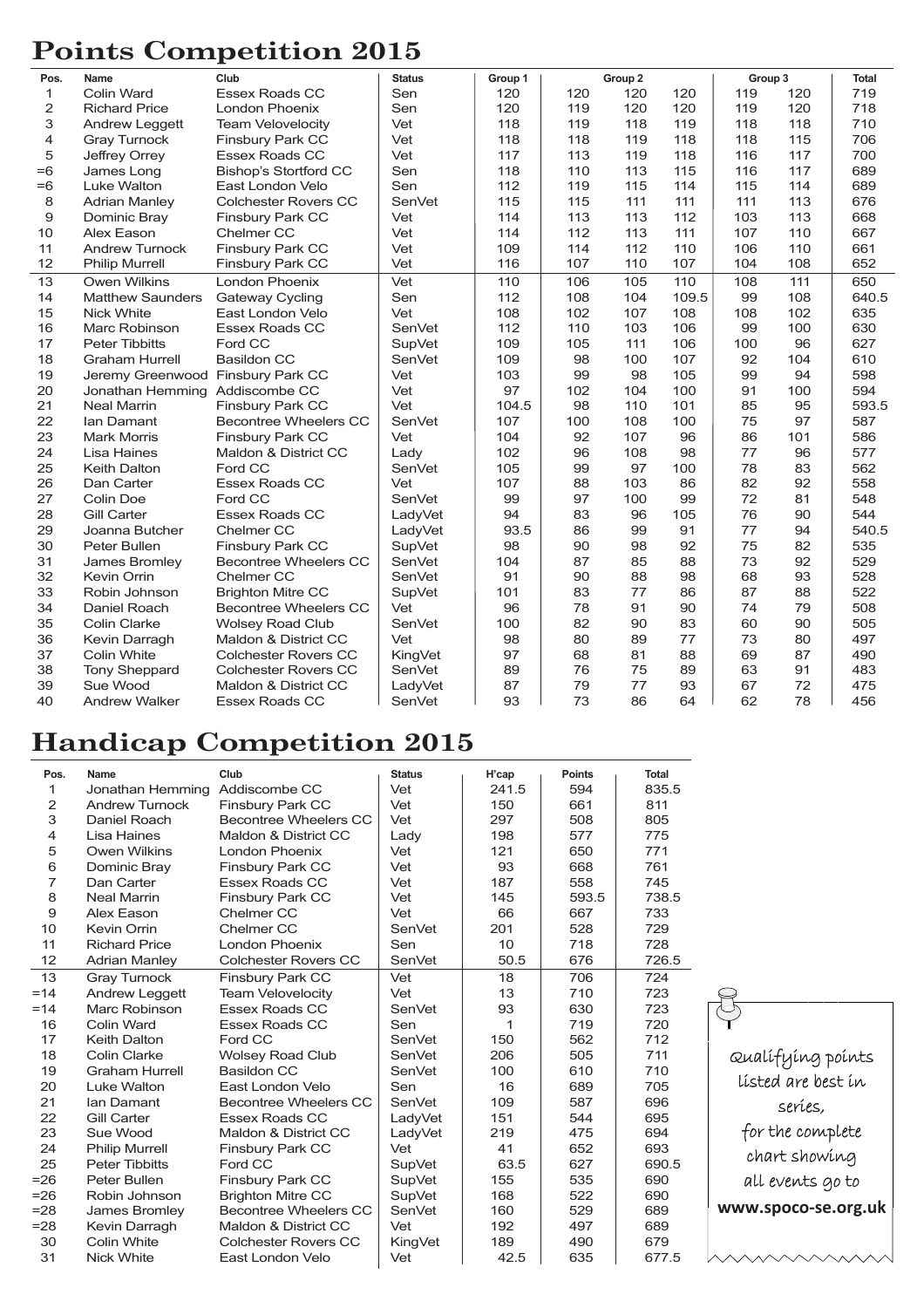## **Points Competition 2015**

| Pos.           | Name                              | Club                         | <b>Status</b> | Group 1 | Group 2 |     | Group 3 |     | <b>Total</b> |       |
|----------------|-----------------------------------|------------------------------|---------------|---------|---------|-----|---------|-----|--------------|-------|
| 1              | Colin Ward                        | <b>Essex Roads CC</b>        | Sen           | 120     | 120     | 120 | 120     | 119 | 120          | 719   |
| $\overline{c}$ | <b>Richard Price</b>              | London Phoenix               | Sen           | 120     | 119     | 120 | 120     | 119 | 120          | 718   |
| 3              | Andrew Leggett                    | Team Velovelocity            | Vet           | 118     | 119     | 118 | 119     | 118 | 118          | 710   |
| 4              | <b>Gray Turnock</b>               | <b>Finsbury Park CC</b>      | Vet           | 118     | 118     | 119 | 118     | 118 | 115          | 706   |
| 5              | Jeffrey Orrey                     | <b>Essex Roads CC</b>        | Vet           | 117     | 113     | 119 | 118     | 116 | 117          | 700   |
| $=6$           | James Long                        | <b>Bishop's Stortford CC</b> | Sen           | 118     | 110     | 113 | 115     | 116 | 117          | 689   |
| $=6$           | Luke Walton                       | East London Velo             | Sen           | 112     | 119     | 115 | 114     | 115 | 114          | 689   |
| 8              | <b>Adrian Manley</b>              | <b>Colchester Rovers CC</b>  | SenVet        | 115     | 115     | 111 | 111     | 111 | 113          | 676   |
| 9              | Dominic Bray                      | Finsbury Park CC             | Vet           | 114     | 113     | 113 | 112     | 103 | 113          | 668   |
| 10             | Alex Eason                        | Chelmer CC                   | Vet           | 114     | 112     | 113 | 111     | 107 | 110          | 667   |
| 11             | <b>Andrew Turnock</b>             | Finsbury Park CC             | Vet           | 109     | 114     | 112 | 110     | 106 | 110          | 661   |
| 12             | <b>Philip Murrell</b>             | Finsbury Park CC             | Vet           | 116     | 107     | 110 | 107     | 104 | 108          | 652   |
| 13             | <b>Owen Wilkins</b>               | London Phoenix               | Vet           | 110     | 106     | 105 | 110     | 108 | 111          | 650   |
| 14             | <b>Matthew Saunders</b>           | <b>Gateway Cycling</b>       | Sen           | 112     | 108     | 104 | 109.5   | 99  | 108          | 640.5 |
| 15             | <b>Nick White</b>                 | East London Velo             | Vet           | 108     | 102     | 107 | 108     | 108 | 102          | 635   |
| 16             | <b>Marc Robinson</b>              | <b>Essex Roads CC</b>        | SenVet        | 112     | 110     | 103 | 106     | 99  | 100          | 630   |
| 17             | <b>Peter Tibbitts</b>             | Ford CC                      | <b>SupVet</b> | 109     | 105     | 111 | 106     | 100 | 96           | 627   |
| 18             | <b>Graham Hurrell</b>             | <b>Basildon CC</b>           | <b>SenVet</b> | 109     | 98      | 100 | 107     | 92  | 104          | 610   |
| 19             | Jeremy Greenwood Finsbury Park CC |                              | Vet           | 103     | 99      | 98  | 105     | 99  | 94           | 598   |
| 20             | Jonathan Hemming Addiscombe CC    |                              | Vet           | 97      | 102     | 104 | 100     | 91  | 100          | 594   |
| 21             | <b>Neal Marrin</b>                | Finsbury Park CC             | Vet           | 104.5   | 98      | 110 | 101     | 85  | 95           | 593.5 |
| 22             | lan Damant                        | <b>Becontree Wheelers CC</b> | <b>SenVet</b> | 107     | 100     | 108 | 100     | 75  | 97           | 587   |
| 23             | <b>Mark Morris</b>                | <b>Finsbury Park CC</b>      | Vet           | 104     | 92      | 107 | 96      | 86  | 101          | 586   |
| 24             | Lisa Haines                       | Maldon & District CC         | Lady          | 102     | 96      | 108 | 98      | 77  | 96           | 577   |
| 25             | <b>Keith Dalton</b>               | Ford CC                      | SenVet        | 105     | 99      | 97  | 100     | 78  | 83           | 562   |
| 26             | Dan Carter                        | <b>Essex Roads CC</b>        | Vet           | 107     | 88      | 103 | 86      | 82  | 92           | 558   |
| 27             | Colin Doe                         | Ford CC                      | SenVet        | 99      | 97      | 100 | 99      | 72  | 81           | 548   |
| 28             | <b>Gill Carter</b>                | <b>Essex Roads CC</b>        | LadyVet       | 94      | 83      | 96  | 105     | 76  | 90           | 544   |
| 29             | Joanna Butcher                    | Chelmer CC                   | LadyVet       | 93.5    | 86      | 99  | 91      | 77  | 94           | 540.5 |
| 30             | Peter Bullen                      | Finsbury Park CC             | <b>SupVet</b> | 98      | 90      | 98  | 92      | 75  | 82           | 535   |
| 31             | James Bromley                     | <b>Becontree Wheelers CC</b> | <b>SenVet</b> | 104     | 87      | 85  | 88      | 73  | 92           | 529   |
| 32             | Kevin Orrin                       | Chelmer CC                   | SenVet        | 91      | 90      | 88  | 98      | 68  | 93           | 528   |
| 33             | Robin Johnson                     | <b>Brighton Mitre CC</b>     | <b>SupVet</b> | 101     | 83      | 77  | 86      | 87  | 88           | 522   |
| 34             | Daniel Roach                      | <b>Becontree Wheelers CC</b> | Vet           | 96      | 78      | 91  | 90      | 74  | 79           | 508   |
| 35             | Colin Clarke                      | <b>Wolsey Road Club</b>      | <b>SenVet</b> | 100     | 82      | 90  | 83      | 60  | 90           | 505   |
| 36             | Kevin Darragh                     | Maldon & District CC         | Vet           | 98      | 80      | 89  | 77      | 73  | 80           | 497   |
| 37             | Colin White                       | <b>Colchester Rovers CC</b>  | KingVet       | 97      | 68      | 81  | 88      | 69  | 87           | 490   |
| 38             | <b>Tony Sheppard</b>              | <b>Colchester Rovers CC</b>  | SenVet        | 89      | 76      | 75  | 89      | 63  | 91           | 483   |
| 39             | Sue Wood                          | Maldon & District CC         | LadyVet       | 87      | 79      | 77  | 93      | 67  | 72           | 475   |
| 40             | <b>Andrew Walker</b>              | <b>Essex Roads CC</b>        | <b>SenVet</b> | 93      | 73      | 86  | 64      | 62  | 78           | 456   |

#### **Handicap Competition 2015**

| Pos.   | Name                  | Club                         | <b>Status</b> | H'cap | <b>Points</b> | Total |   |
|--------|-----------------------|------------------------------|---------------|-------|---------------|-------|---|
| 1      | Jonathan Hemming      | Addiscombe CC                | Vet           | 241.5 | 594           | 835.5 |   |
| 2      | <b>Andrew Turnock</b> | Finsbury Park CC             | Vet           | 150   | 661           | 811   |   |
| 3      | Daniel Roach          | Becontree Wheelers CC        | Vet           | 297   | 508           | 805   |   |
| 4      | Lisa Haines           | Maldon & District CC         | Lady          | 198   | 577           | 775   |   |
| 5      | Owen Wilkins          | London Phoenix               | Vet           | 121   | 650           | 771   |   |
| 6      | Dominic Bray          | Finsbury Park CC             | Vet           | 93    | 668           | 761   |   |
| 7      | Dan Carter            | Essex Roads CC               | Vet           | 187   | 558           | 745   |   |
| 8      | <b>Neal Marrin</b>    | Finsbury Park CC             | Vet           | 145   | 593.5         | 738.5 |   |
| 9      | Alex Eason            | Chelmer CC                   | Vet           | 66    | 667           | 733   |   |
| 10     | Kevin Orrin           | Chelmer CC                   | SenVet        | 201   | 528           | 729   |   |
| 11     | <b>Richard Price</b>  | London Phoenix               | Sen           | 10    | 718           | 728   |   |
| 12     | <b>Adrian Manley</b>  | <b>Colchester Rovers CC</b>  | SenVet        | 50.5  | 676           | 726.5 |   |
| 13     | <b>Gray Turnock</b>   | Finsbury Park CC             | Vet           | 18    | 706           | 724   |   |
| $=14$  | Andrew Leggett        | <b>Team Velovelocity</b>     | Vet           | 13    | 710           | 723   |   |
| $=14$  | Marc Robinson         | Essex Roads CC               | SenVet        | 93    | 630           | 723   | ₹ |
| 16     | Colin Ward            | Essex Roads CC               | Sen           | 1     | 719           | 720   |   |
| 17     | <b>Keith Dalton</b>   | Ford CC                      | <b>SenVet</b> | 150   | 562           | 712   |   |
| 18     | Colin Clarke          | <b>Wolsey Road Club</b>      | SenVet        | 206   | 505           | 711   |   |
| 19     | <b>Graham Hurrell</b> | Basildon CC                  | SenVet        | 100   | 610           | 710   |   |
| 20     | Luke Walton           | East London Velo             | Sen           | 16    | 689           | 705   |   |
| 21     | Ian Damant            | Becontree Wheelers CC        | SenVet        | 109   | 587           | 696   |   |
| 22     | Gill Carter           | Essex Roads CC               | LadyVet       | 151   | 544           | 695   |   |
| 23     | Sue Wood              | Maldon & District CC         | LadyVet       | 219   | 475           | 694   |   |
| 24     | <b>Philip Murrell</b> | <b>Finsbury Park CC</b>      | Vet           | 41    | 652           | 693   |   |
| 25     | <b>Peter Tibbitts</b> | Ford CC                      | SupVet        | 63.5  | 627           | 690.5 |   |
| $= 26$ | Peter Bullen          | <b>Finsbury Park CC</b>      | <b>SupVet</b> | 155   | 535           | 690   |   |
| $= 26$ | Robin Johnson         | <b>Brighton Mitre CC</b>     | <b>SupVet</b> | 168   | 522           | 690   |   |
| $= 28$ | James Bromley         | <b>Becontree Wheelers CC</b> | <b>SenVet</b> | 160   | 529           | 689   | v |
| $= 28$ | Kevin Darragh         | Maldon & District CC         | Vet           | 192   | 497           | 689   |   |
| 30     | Colin White           | <b>Colchester Rovers CC</b>  | KingVet       | 189   | 490           | 679   |   |
| 31     | <b>Nick White</b>     | East London Velo             | Vet           | 42.5  | 635           | 677.5 |   |